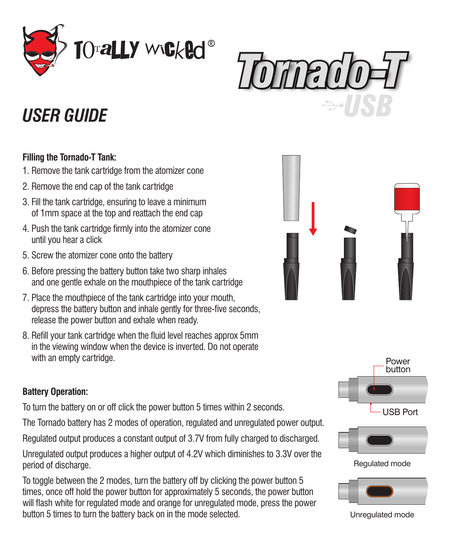



# *USER GUIDE*

### **Filling the Tornado-T Tank:**

- 1. Remove the tank cartridge from the atomizer cone
- 2. Remove the end cap of the tank cartridge
- 3. Fill the tank cartridge, ensuring to leave a minimum of 1mm space at the top and reattach the end cap
- 4. Push the tank cartridge firmly into the atomizer cone until you hear a click
- 5. Screw the atomizer cone onto the battery
- 6. Before pressing the battery button take two sharp inhales and one gentle exhale on the mouthpiece of the tank cartridge
- 7. Place the mouthpiece of the tank cartridge into your mouth, depress the battery button and inhale gently for three-five seconds, release the power button and exhale when ready.
- 8. Refill your tank cartridge when the fluid level reaches approx 5mm in the viewing window when the device is inverted. Do not operate with an empty cartridge.

### **Battery Operation:**

To turn the battery on or off click the power button 5 times within 2 seconds.

The Tornado battery has 2 modes of operation, regulated and unregulated power output.

Regulated output produces a constant output of 3.7V from fully charged to discharged.

Unregulated output produces a higher output of 4.2V which diminishes to 3.3V over the period of discharge.

To toggle between the 2 modes, turn the battery off by clicking the power button 5 times, once off hold the power button for approximately 5 seconds, the power button will flash white for regulated mode and orange for unregulated mode, press the power button 5 times to turn the battery back on in the mode selected.







Regulated mode



Unregulated mode